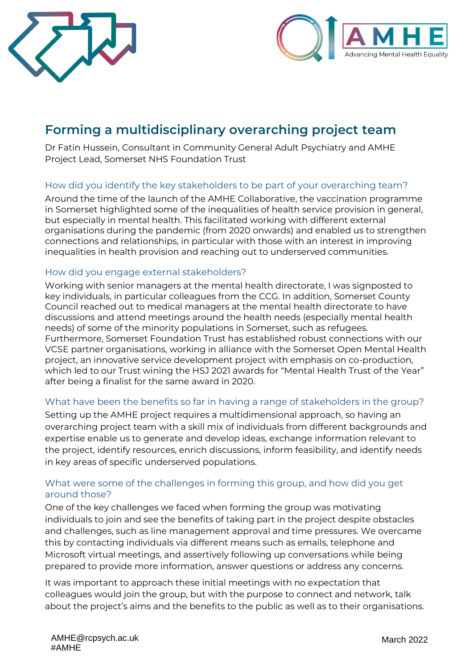



# **Forming a multidisciplinary overarching project team**

Dr Fatin Hussein, Consultant in Community General Adult Psychiatry and AMHE Project Lead, Somerset NHS Foundation Trust

#### How did you identify the key stakeholders to be part of your overarching team?

Around the time of the launch of the AMHE Collaborative, the vaccination programme in Somerset highlighted some of the inequalities of health service provision in general, but especially in mental health. This facilitated working with different external organisations during the pandemic (from 2020 onwards) and enabled us to strengthen connections and relationships, in particular with those with an interest in improving inequalities in health provision and reaching out to underserved communities.

#### How did you engage external stakeholders?

Working with senior managers at the mental health directorate, I was signposted to key individuals, in particular colleagues from the CCG. In addition, Somerset County Council reached out to medical managers at the mental health directorate to have discussions and attend meetings around the health needs (especially mental health needs) of some of the minority populations in Somerset, such as refugees. Furthermore, Somerset Foundation Trust has established robust connections with our VCSE partner organisations, working in alliance with the Somerset Open Mental Health project, an innovative service development project with emphasis on co-production, which led to our Trust wining the HSJ 2021 awards for "Mental Health Trust of the Year" after being a finalist for the same award in 2020.

## What have been the benefits so far in having a range of stakeholders in the group?

Setting up the AMHE project requires a multidimensional approach, so having an overarching project team with a skill mix of individuals from different backgrounds and expertise enable us to generate and develop ideas, exchange information relevant to the project, identify resources, enrich discussions, inform feasibility, and identify needs in key areas of specific underserved populations.

### What were some of the challenges in forming this group, and how did you get around those?

One of the key challenges we faced when forming the group was motivating individuals to join and see the benefits of taking part in the project despite obstacles and challenges, such as line management approval and time pressures. We overcame this by contacting individuals via different means such as emails, telephone and Microsoft virtual meetings, and assertively following up conversations while being prepared to provide more information, answer questions or address any concerns.

It was important to approach these initial meetings with no expectation that colleagues would join the group, but with the purpose to connect and network, talk about the project's aims and the benefits to the public as well as to their organisations.